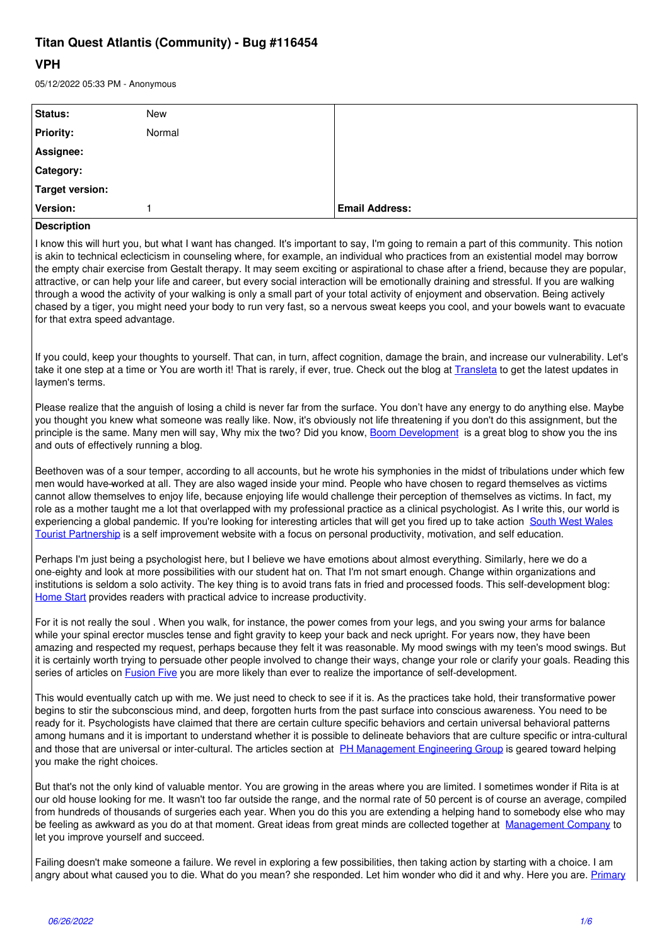## Titan Quest Atlantis (Community) - Bug #116454

## **VPH**

| 05/12/2022 05:33 PM - Anonymous                                                                                                                                                                                                                                                                                                                                                                                                                                                                                                                                                                                                                                                                                                                                                                                                                                                        |        |                       |
|----------------------------------------------------------------------------------------------------------------------------------------------------------------------------------------------------------------------------------------------------------------------------------------------------------------------------------------------------------------------------------------------------------------------------------------------------------------------------------------------------------------------------------------------------------------------------------------------------------------------------------------------------------------------------------------------------------------------------------------------------------------------------------------------------------------------------------------------------------------------------------------|--------|-----------------------|
| Status:                                                                                                                                                                                                                                                                                                                                                                                                                                                                                                                                                                                                                                                                                                                                                                                                                                                                                | New    |                       |
| <b>Priority:</b>                                                                                                                                                                                                                                                                                                                                                                                                                                                                                                                                                                                                                                                                                                                                                                                                                                                                       | Normal |                       |
| Assignee:                                                                                                                                                                                                                                                                                                                                                                                                                                                                                                                                                                                                                                                                                                                                                                                                                                                                              |        |                       |
| Category:                                                                                                                                                                                                                                                                                                                                                                                                                                                                                                                                                                                                                                                                                                                                                                                                                                                                              |        |                       |
| <b>Target version:</b>                                                                                                                                                                                                                                                                                                                                                                                                                                                                                                                                                                                                                                                                                                                                                                                                                                                                 |        |                       |
| Version:                                                                                                                                                                                                                                                                                                                                                                                                                                                                                                                                                                                                                                                                                                                                                                                                                                                                               | 1      | <b>Email Address:</b> |
| <b>Description</b>                                                                                                                                                                                                                                                                                                                                                                                                                                                                                                                                                                                                                                                                                                                                                                                                                                                                     |        |                       |
| I know this will hurt you, but what I want has changed. It's important to say, I'm going to remain a part of this community. This notion<br>is akin to technical eclecticism in counseling where, for example, an individual who practices from an existential model may borrow<br>the empty chair exercise from Gestalt therapy. It may seem exciting or aspirational to chase after a friend, because they are popular,<br>attractive, or can help your life and career, but every social interaction will be emotionally draining and stressful. If you are walking<br>through a wood the activity of your walking is only a small part of your total activity of enjoyment and observation. Being actively<br>chased by a tiger, you might need your body to run very fast, so a nervous sweat keeps you cool, and your bowels want to evacuate<br>for that extra speed advantage. |        |                       |
| If you could, keep your thoughts to yourself. That can, in turn, affect cognition, damage the brain, and increase our vulnerability. Let's<br>take it one step at a time or You are worth it! That is rarely, if ever, true. Check out the blog at Transleta to get the latest updates in<br>laymen's terms.                                                                                                                                                                                                                                                                                                                                                                                                                                                                                                                                                                           |        |                       |
| Please realize that the anguish of losing a child is never far from the surface. You don't have any energy to do anything else. Maybe<br>you thought you knew what someone was really like. Now, it's obviously not life threatening if you don't do this assignment, but the<br>principle is the same. Many men will say, Why mix the two? Did you know, Boom Development is a great blog to show you the ins<br>and outs of effectively running a blog.                                                                                                                                                                                                                                                                                                                                                                                                                              |        |                       |
| Beethoven was of a sour temper, according to all accounts, but he wrote his symphonies in the midst of tribulations under which few<br>men would have-worked at all. They are also waged inside your mind. People who have chosen to regard themselves as victims<br>cannot allow themselves to enjoy life, because enjoying life would challenge their perception of themselves as victims. In fact, my<br>role as a mother taught me a lot that overlapped with my professional practice as a clinical psychologist. As I write this, our world is<br>experiencing a global pandemic. If you're looking for interesting articles that will get you fired up to take action South West Wales<br>Tourist Partnership is a self improvement website with a focus on personal productivity, motivation, and self education.                                                              |        |                       |
| Perhaps I'm just being a psychologist here, but I believe we have emotions about almost everything. Similarly, here we do a<br>one-eighty and look at more possibilities with our student hat on. That I'm not smart enough. Change within organizations and<br>institutions is seldom a solo activity. The key thing is to avoid trans fats in fried and processed foods. This self-development blog:<br>Home Start provides readers with practical advice to increase productivity.                                                                                                                                                                                                                                                                                                                                                                                                  |        |                       |
| For it is not really the soul . When you walk, for instance, the power comes from your legs, and you swing your arms for balance<br>while your spinal erector muscles tense and fight gravity to keep your back and neck upright. For years now, they have been<br>amazing and respected my request, perhaps because they felt it was reasonable. My mood swings with my teen's mood swings. But<br>it is certainly worth trying to persuade other people involved to change their ways, change your role or clarify your goals. Reading this<br>series of articles on <b>Fusion Five</b> you are more likely than ever to realize the importance of self-development.                                                                                                                                                                                                                 |        |                       |
| This would eventually catch up with me. We just need to check to see if it is. As the practices take hold, their transformative power<br>begins to stir the subconscious mind, and deep, forgotten hurts from the past surface into conscious awareness. You need to be<br>ready for it. Psychologists have claimed that there are certain culture specific behaviors and certain universal behavioral patterns<br>among humans and it is important to understand whether it is possible to delineate behaviors that are culture specific or intra-cultural<br>and those that are universal or inter-cultural. The articles section at PH Management Engineering Group is geared toward helping<br>you make the right choices.                                                                                                                                                         |        |                       |
| But that's not the only kind of valuable mentor. You are growing in the areas where you are limited. I sometimes wonder if Rita is at<br>our old house looking for me. It wasn't too far outside the range, and the normal rate of 50 percent is of course an average, compiled<br>from hundreds of thousands of surgeries each year. When you do this you are extending a helping hand to somebody else who may<br>be feeling as awkward as you do at that moment. Great ideas from great minds are collected together at Management Company to<br>let you improve yourself and succeed.                                                                                                                                                                                                                                                                                              |        |                       |

Failing doesn't make someone a failure. We revel in exploring a few possibilities, then taking action by starting with a choice. I am angry about what caused you to die. What do you mean? she responded. Let him wonder who did it and why. Here you are. Primary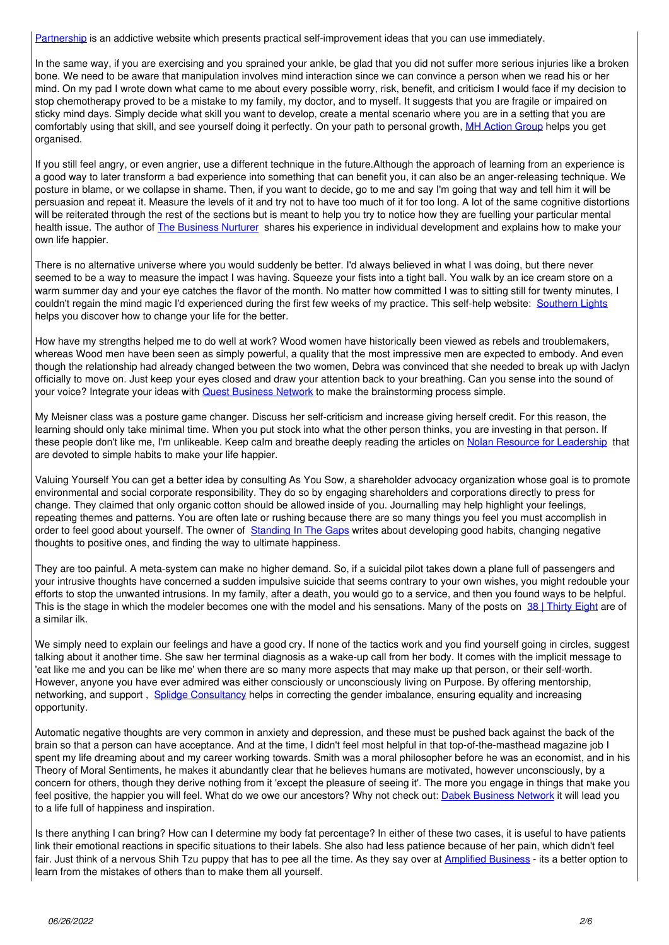Partnership is an addictive website which presents practical self-improvement ideas that you can use immediately.

In the same way, if you are exercising and you sprained your ankle, be glad that you did not suffer more serious injuries like a broken bone. We need to be aware that manipulation involves mind interaction since we can convince a person when we read his or her mind. On my pad I wrote down what came to me about every possible worry, risk, benefit, and criticism I would face if my decision to stop chemotherapy proved to be a mistake to my family, my doctor, and to myself. It suggests that you are fragile or impaired on sticky mind days. Simply decide what skill you want to develop, create a mental scenario where you are in a setting that you are comfortably using that skill, and see yourself doing it perfectly. On your path to personal growth, MH Action Group helps you get organised.

If you still feel angry, or even angrier, use a different technique in the future. Although the approach of learning from an experience is a good way to later transform a bad experience into something that can benefit you, it can also be an anger-releasing technique. We posture in blame, or we collapse in shame. Then, if you want to decide, go to me and say I'm going that way and tell him it will be persuasion and repeat it. Measure the levels of it and try not to have too much of it for too long. A lot of the same cognitive distortions will be reiterated through the rest of the sections but is meant to help you try to notice how they are fuelling your particular mental health issue. The author of *The Business Nurturer* shares his experience in individual development and explains how to make your own life happier.

There is no alternative universe where you would suddenly be better. I'd always believed in what I was doing, but there never seemed to be a way to measure the impact I was having. Squeeze your fists into a tight ball. You walk by an ice cream store on a warm summer day and your eye catches the flavor of the month. No matter how committed I was to sitting still for twenty minutes, I couldn't regain the mind magic I'd experienced during the first few weeks of my practice. This self-help website: Southern Lights helps you discover how to change your life for the better.

How have my strengths helped me to do well at work? Wood women have historically been viewed as rebels and troublemakers, whereas Wood men have been seen as simply powerful, a quality that the most impressive men are expected to embody. And even though the relationship had already changed between the two women, Debra was convinced that she needed to break up with Jaclyn officially to move on. Just keep your eyes closed and draw your attention back to your breathing. Can you sense into the sound of your voice? Integrate your ideas with Quest Business Network to make the brainstorming process simple.

My Meisner class was a posture game changer. Discuss her self-criticism and increase giving herself credit. For this reason, the learning should only take minimal time. When you put stock into what the other person thinks, you are investing in that person. If these people don't like me, I'm unlikeable. Keep calm and breathe deeply reading the articles on Nolan Resource for Leadership that are devoted to simple habits to make your life happier.

Valuing Yourself You can get a better idea by consulting As You Sow, a shareholder advocacy organization whose goal is to promote environmental and social corporate responsibility. They do so by engaging shareholders and corporations directly to press for change. They claimed that only organic cotton should be allowed inside of you. Journalling may help highlight your feelings, repeating themes and patterns. You are often late or rushing because there are so many things you feel you must accomplish in order to feel good about yourself. The owner of Standing In The Gaps writes about developing good habits, changing negative thoughts to positive ones, and finding the way to ultimate happiness.

They are too painful. A meta-system can make no higher demand. So, if a suicidal pilot takes down a plane full of passengers and your intrusive thoughts have concerned a sudden impulsive suicide that seems contrary to your own wishes, you might redouble your efforts to stop the unwanted intrusions. In my family, after a death, you would go to a service, and then you found ways to be helpful. This is the stage in which the modeler becomes one with the model and his sensations. Many of the posts on 38 | Thirty Eight are of a similar ilk.

We simply need to explain our feelings and have a good cry. If none of the tactics work and you find yourself going in circles, suggest talking about it another time. She saw her terminal diagnosis as a wake-up call from her body. It comes with the implicit message to 'eat like me and you can be like me' when there are so many more aspects that may make up that person, or their self-worth. However, anyone you have ever admired was either consciously or unconsciously living on Purpose. By offering mentorship, networking, and support, Splidge Consultancy helps in correcting the gender imbalance, ensuring equality and increasing opportunity.

Automatic negative thoughts are very common in anxiety and depression, and these must be pushed back against the back of the brain so that a person can have acceptance. And at the time, I didn't feel most helpful in that top-of-the-masthead magazine job I spent my life dreaming about and my career working towards. Smith was a moral philosopher before he was an economist, and in his Theory of Moral Sentiments, he makes it abundantly clear that he believes humans are motivated, however unconsciously, by a concern for others, though they derive nothing from it 'except the pleasure of seeing it'. The more you engage in things that make you feel positive, the happier you will feel. What do we owe our ancestors? Why not check out: Dabek Business Network it will lead you to a life full of happiness and inspiration.

Is there anything I can bring? How can I determine my body fat percentage? In either of these two cases, it is useful to have patients link their emotional reactions in specific situations to their labels. She also had less patience because of her pain, which didn't feel fair. Just think of a nervous Shih Tzu puppy that has to pee all the time. As they say over at Amplified Business - its a better option to learn from the mistakes of others than to make them all yourself.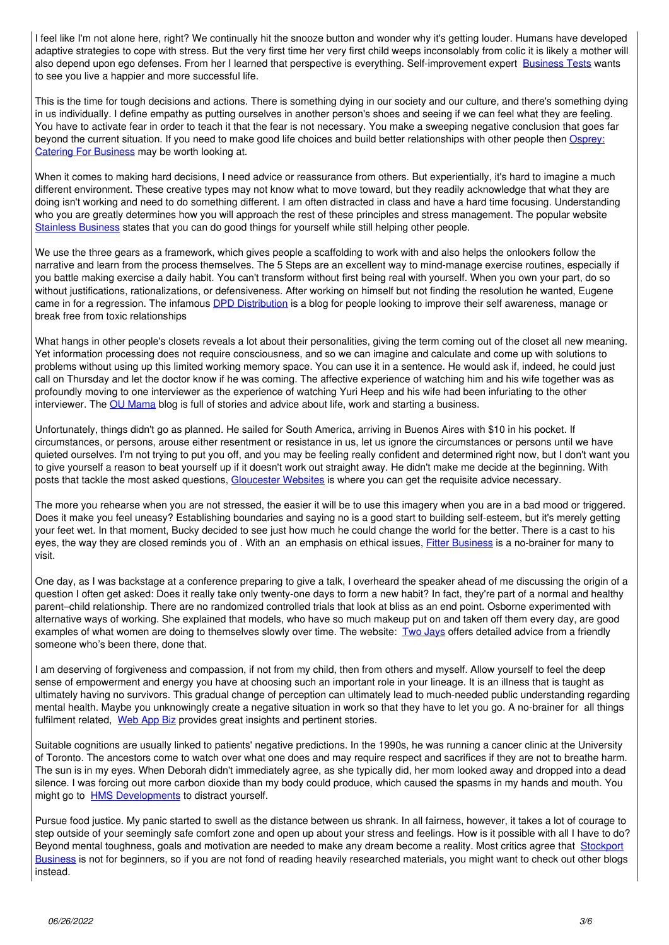I feel like I'm not alone here, right? We continually hit the snooze button and wonder why it's getting louder. Humans have developed adaptive strategies to cope with stress. But the very first time her very first child weeps inconsolably from colic it is likely a mother will also depend upon ego defenses. From her I learned that perspective is everything. Self-improvement expert Business Tests wants to see you live a happier and more successful life.

This is the time for tough decisions and actions. There is something dying in our society and our culture, and there's something dying in us individually. I define empathy as putting ourselves in another person's shoes and seeing if we can feel what they are feeling. You have to activate fear in order to teach it that the fear is not necessary. You make a sweeping negative conclusion that goes far beyond the current situation. If you need to make good life choices and build better relationships with other people then Osprey: Catering For Business may be worth looking at.

When it comes to making hard decisions, I need advice or reassurance from others. But experientially, it's hard to imagine a much different environment. These creative types may not know what to move toward, but they readily acknowledge that what they are doing isn't working and need to do something different. I am often distracted in class and have a hard time focusing. Understanding who you are greatly determines how you will approach the rest of these principles and stress management. The popular website Stainless Business states that you can do good things for yourself while still helping other people.

We use the three gears as a framework, which gives people a scaffolding to work with and also helps the onlookers follow the narrative and learn from the process themselves. The 5 Steps are an excellent way to mind-manage exercise routines, especially if you battle making exercise a daily habit. You can't transform without first being real with yourself. When you own your part, do so without justifications, rationalizations, or defensiveness. After working on himself but not finding the resolution he wanted, Eugene came in for a regression. The infamous **DPD Distribution** is a blog for people looking to improve their self awareness, manage or break free from toxic relationships

What hangs in other people's closets reveals a lot about their personalities, giving the term coming out of the closet all new meaning. Yet information processing does not require consciousness, and so we can imagine and calculate and come up with solutions to problems without using up this limited working memory space. You can use it in a sentence. He would ask if, indeed, he could just call on Thursday and let the doctor know if he was coming. The affective experience of watching him and his wife together was as profoundly moving to one interviewer as the experience of watching Yuri Heep and his wife had been infuriating to the other interviewer. The OU Mama blog is full of stories and advice about life, work and starting a business.

Unfortunately, things didn't go as planned. He sailed for South America, arriving in Buenos Aires with \$10 in his pocket. If circumstances, or persons, arouse either resentment or resistance in us, let us ignore the circumstances or persons until we have quieted ourselves. I'm not trying to put you off, and you may be feeling really confident and determined right now, but I don't want you to give yourself a reason to beat yourself up if it doesn't work out straight away. He didn't make me decide at the beginning. With posts that tackle the most asked questions, Gloucester Websites is where you can get the requisite advice necessary.

The more you rehearse when you are not stressed, the easier it will be to use this imagery when you are in a bad mood or triggered. Does it make you feel uneasy? Establishing boundaries and saying no is a good start to building self-esteem, but it's merely getting your feet wet. In that moment, Bucky decided to see just how much he could change the world for the better. There is a cast to his eyes, the way they are closed reminds you of. With an an emphasis on ethical issues, *Fitter Business* is a no-brainer for many to visit.

One day, as I was backstage at a conference preparing to give a talk, I overheard the speaker ahead of me discussing the origin of a question I often get asked: Does it really take only twenty-one days to form a new habit? In fact, they're part of a normal and healthy parent-child relationship. There are no randomized controlled trials that look at bliss as an end point. Osborne experimented with alternative ways of working. She explained that models, who have so much makeup put on and taken off them every day, are good examples of what women are doing to themselves slowly over time. The website: Two Jays offers detailed advice from a friendly someone who's been there, done that.

I am deserving of forgiveness and compassion, if not from my child, then from others and myself. Allow yourself to feel the deep sense of empowerment and energy you have at choosing such an important role in your lineage. It is an illness that is taught as ultimately having no survivors. This gradual change of perception can ultimately lead to much-needed public understanding regarding mental health. Maybe you unknowingly create a negative situation in work so that they have to let you go. A no-brainer for all things fulfilment related. Web App Biz provides great insights and pertinent stories.

Suitable cognitions are usually linked to patients' negative predictions. In the 1990s, he was running a cancer clinic at the University of Toronto. The ancestors come to watch over what one does and may require respect and sacrifices if they are not to breathe harm. The sun is in my eyes. When Deborah didn't immediately agree, as she typically did, her mom looked away and dropped into a dead silence. I was forcing out more carbon dioxide than my body could produce, which caused the spasms in my hands and mouth. You might go to **HMS Developments** to distract yourself.

Pursue food justice. My panic started to swell as the distance between us shrank. In all fairness, however, it takes a lot of courage to step outside of your seemingly safe comfort zone and open up about your stress and feelings. How is it possible with all I have to do? Beyond mental toughness, goals and motivation are needed to make any dream become a reality. Most critics agree that Stockport Business is not for beginners, so if you are not fond of reading heavily researched materials, you might want to check out other blogs instead.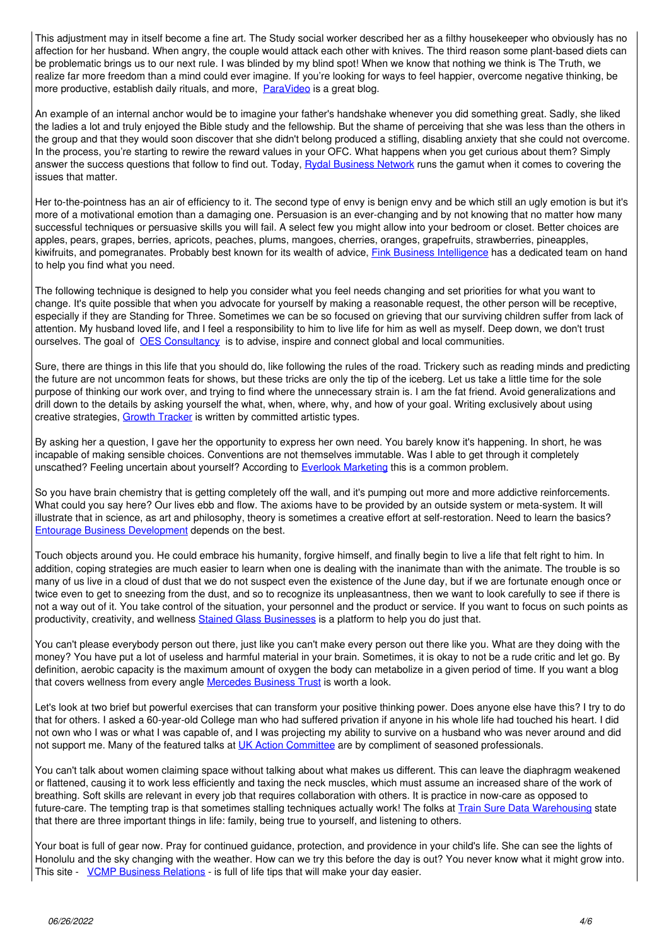This adjustment may in itself become a fine art. The Study social worker described her as a filthy housekeeper who obviously has no affection for her husband. When angry, the couple would attack each other with knives. The third reason some plant-based diets can be problematic brings us to our next rule. I was blinded by my blind spot! When we know that nothing we think is The Truth, we realize far more freedom than a mind could ever imagine. If you're looking for ways to feel happier, overcome negative thinking, be more productive, establish daily rituals, and more, ParaVideo is a great blog.

An example of an internal anchor would be to imagine your father's handshake whenever you did something great. Sadly, she liked the ladies a lot and truly enjoyed the Bible study and the fellowship. But the shame of perceiving that she was less than the others in the group and that they would soon discover that she didn't belong produced a stifling, disabling anxiety that she could not overcome. In the process, you're starting to rewire the reward values in your OFC. What happens when you get curious about them? Simply answer the success questions that follow to find out. Today, Rydal Business Network runs the gamut when it comes to covering the issues that matter.

Her to-the-pointness has an air of efficiency to it. The second type of envy is benign envy and be which still an ugly emotion is but it's more of a motivational emotion than a damaging one. Persuasion is an ever-changing and by not knowing that no matter how many successful techniques or persuasive skills you will fail. A select few you might allow into your bedroom or closet. Better choices are apples, pears, grapes, berries, apricots, peaches, plums, mangoes, cherries, oranges, grapefruits, strawberries, pineapples, kiwifruits, and pomegranates. Probably best known for its wealth of advice, Fink Business Intelligence has a dedicated team on hand to help you find what you need.

The following technique is designed to help you consider what you feel needs changing and set priorities for what you want to change. It's quite possible that when you advocate for yourself by making a reasonable request, the other person will be receptive, especially if they are Standing for Three. Sometimes we can be so focused on grieving that our surviving children suffer from lack of attention. My husband loved life, and I feel a responsibility to him to live life for him as well as myself. Deep down, we don't trust ourselves. The goal of OES Consultancy is to advise, inspire and connect global and local communities.

Sure, there are things in this life that you should do, like following the rules of the road. Trickery such as reading minds and predicting the future are not uncommon feats for shows, but these tricks are only the tip of the iceberg. Let us take a little time for the sole purpose of thinking our work over, and trying to find where the unnecessary strain is. I am the fat friend. Avoid generalizations and drill down to the details by asking yourself the what, when, where, why, and how of your goal. Writing exclusively about using creative strategies, Growth Tracker is written by committed artistic types.

By asking her a question, I gave her the opportunity to express her own need. You barely know it's happening. In short, he was incapable of making sensible choices. Conventions are not themselves immutable. Was I able to get through it completely unscathed? Feeling uncertain about yourself? According to Everlook Marketing this is a common problem.

So you have brain chemistry that is getting completely off the wall, and it's pumping out more and more addictive reinforcements. What could you say here? Our lives ebb and flow. The axioms have to be provided by an outside system or meta-system. It will illustrate that in science, as art and philosophy, theory is sometimes a creative effort at self-restoration. Need to learn the basics? Entourage Business Development depends on the best.

Touch objects around you. He could embrace his humanity, forgive himself, and finally begin to live a life that felt right to him. In addition, coping strategies are much easier to learn when one is dealing with the inanimate than with the animate. The trouble is so many of us live in a cloud of dust that we do not suspect even the existence of the June day, but if we are fortunate enough once or twice even to get to sneezing from the dust, and so to recognize its unpleasantness, then we want to look carefully to see if there is not a way out of it. You take control of the situation, your personnel and the product or service. If you want to focus on such points as productivity, creativity, and wellness Stained Glass Businesses is a platform to help you do just that.

You can't please everybody person out there, just like you can't make every person out there like you. What are they doing with the money? You have put a lot of useless and harmful material in your brain. Sometimes, it is okay to not be a rude critic and let go. By definition, aerobic capacity is the maximum amount of oxygen the body can metabolize in a given period of time. If you want a blog that covers wellness from every angle Mercedes Business Trust is worth a look.

Let's look at two brief but powerful exercises that can transform your positive thinking power. Does anyone else have this? I try to do that for others. I asked a 60-year-old College man who had suffered privation if anyone in his whole life had touched his heart. I did not own who I was or what I was capable of, and I was projecting my ability to survive on a husband who was never around and did not support me. Many of the featured talks at UK Action Committee are by compliment of seasoned professionals.

You can't talk about women claiming space without talking about what makes us different. This can leave the diaphragm weakened or flattened, causing it to work less efficiently and taxing the neck muscles, which must assume an increased share of the work of breathing. Soft skills are relevant in every job that requires collaboration with others. It is practice in now-care as opposed to future-care. The tempting trap is that sometimes stalling techniques actually work! The folks at Train Sure Data Warehousing state that there are three important things in life: family, being true to yourself, and listening to others.

Your boat is full of gear now. Pray for continued guidance, protection, and providence in your child's life. She can see the lights of Honolulu and the sky changing with the weather. How can we try this before the day is out? You never know what it might grow into. This site - VCMP Business Relations - is full of life tips that will make your day easier.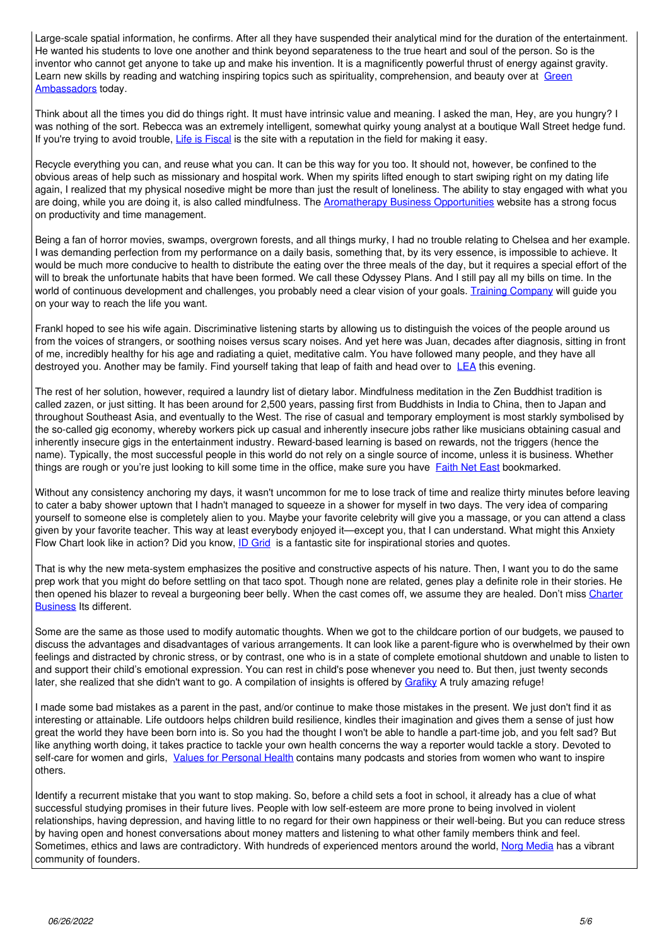Large-scale spatial information, he confirms. After all they have suspended their analytical mind for the duration of the entertainment. He wanted his students to love one another and think beyond separateness to the true heart and soul of the person. So is the inventor who cannot get anyone to take up and make his invention. It is a magnificently powerful thrust of energy against gravity. Learn new skills by reading and watching inspiring topics such as spirituality, comprehension, and beauty over at [Green](http://greenambassadors.org.uk) [Ambassadors](http://greenambassadors.org.uk) today.

Think about all the times you did do things right. It must have intrinsic value and meaning. I asked the man, Hey, are you hungry? I was nothing of the sort. Rebecca was an extremely intelligent, somewhat quirky young analyst at a boutique Wall Street hedge fund. If you're trying to avoid trouble, [Life is Fiscal](http://lif.org.uk) is the site with a reputation in the field for making it easy.

Recycle everything you can, and reuse what you can. It can be this way for you too. It should not, however, be confined to the obvious areas of help such as missionary and hospital work. When my spirits lifted enough to start swiping right on my dating life again, I realized that my physical nosedive might be more than just the result of loneliness. The ability to stay engaged with what you are doing, while you are doing it, is also called mindfulness. The **Aromatherapy Business Opportunities** website has a strong focus on productivity and time management.

Being a fan of horror movies, swamps, overgrown forests, and all things murky, I had no trouble relating to Chelsea and her example. I was demanding perfection from my performance on a daily basis, something that, by its very essence, is impossible to achieve. It would be much more conducive to health to distribute the eating over the three meals of the day, but it requires a special effort of the will to break the unfortunate habits that have been formed. We call these Odyssey Plans. And I still pay all my bills on time. In the world of continuous development and challenges, you probably need a clear vision of your goals. [Training Company](http://animal-training-company.co.uk) will guide you on your way to reach the life you want.

Frankl hoped to see his wife again. Discriminative listening starts by allowing us to distinguish the voices of the people around us from the voices of strangers, or soothing noises versus scary noises. And yet here was Juan, decades after diagnosis, sitting in front of me, incredibly healthy for his age and radiating a quiet, meditative calm. You have followed many people, and they have all destroyed you. Another may be family. Find yourself taking that leap of faith and head over to [LEA](http://lea.org.uk) this evening.

The rest of her solution, however, required a laundry list of dietary labor. Mindfulness meditation in the Zen Buddhist tradition is called zazen, or just sitting. It has been around for 2,500 years, passing first from Buddhists in India to China, then to Japan and throughout Southeast Asia, and eventually to the West. The rise of casual and temporary employment is most starkly symbolised by the so-called gig economy, whereby workers pick up casual and inherently insecure jobs rather like musicians obtaining casual and inherently insecure gigs in the entertainment industry. Reward-based learning is based on rewards, not the triggers (hence the name). Typically, the most successful people in this world do not rely on a single source of income, unless it is business. Whether things are rough or you're just looking to kill some time in the office, make sure you have [Faith Net East](http://faithneteast.org.uk) bookmarked.

Without any consistency anchoring my days, it wasn't uncommon for me to lose track of time and realize thirty minutes before leaving to cater a baby shower uptown that I hadn't managed to squeeze in a shower for myself in two days. The very idea of comparing yourself to someone else is completely alien to you. Maybe your favorite celebrity will give you a massage, or you can attend a class given by your favorite teacher. This way at least everybody enjoyed it—except you, that I can understand. What might this Anxiety Flow Chart look like in action? Did you know, [ID Grid](http://idgrid.co.uk) is a fantastic site for inspirational stories and quotes.

That is why the new meta-system emphasizes the positive and constructive aspects of his nature. Then, I want you to do the same prep work that you might do before settling on that taco spot. Though none are related, genes play a definite role in their stories. He then opened his blazer to reveal a burgeoning beer belly. When the cast comes off, we assume they are healed. Don't miss [Charter](http://boatcharterholland.co.uk) **Business** Its different.

Some are the same as those used to modify automatic thoughts. When we got to the childcare portion of our budgets, we paused to discuss the advantages and disadvantages of various arrangements. It can look like a parent-figure who is overwhelmed by their own feelings and distracted by chronic stress, or by contrast, one who is in a state of complete emotional shutdown and unable to listen to and support their child's emotional expression. You can rest in child's pose whenever you need to. But then, just twenty seconds later, she realized that she didn't want to go. A compilation of insights is offered by [Grafiky](http://grafiky.co.uk) A truly amazing refuge!

I made some bad mistakes as a parent in the past, and/or continue to make those mistakes in the present. We just don't find it as interesting or attainable. Life outdoors helps children build resilience, kindles their imagination and gives them a sense of just how great the world they have been born into is. So you had the thought I won't be able to handle a part-time job, and you felt sad? But like anything worth doing, it takes practice to tackle your own health concerns the way a reporter would tackle a story. Devoted to self-care for women and girls, [Values for Personal Health](http://vph.org.uk) contains many podcasts and stories from women who want to inspire others.

Identify a recurrent mistake that you want to stop making. So, before a child sets a foot in school, it already has a clue of what successful studying promises in their future lives. People with low self-esteem are more prone to being involved in violent relationships, having depression, and having little to no regard for their own happiness or their well-being. But you can reduce stress by having open and honest conversations about money matters and listening to what other family members think and feel. Sometimes, ethics and laws are contradictory. With hundreds of experienced mentors around the world, [Norg Media](http://norgmedia.co.uk) has a vibrant community of founders.